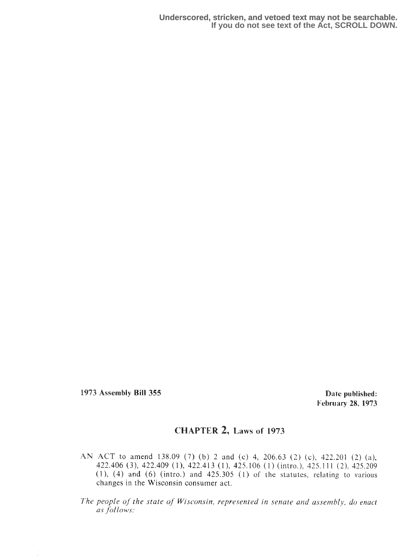1973 Assembly Bill 355 **Date published:** 

February 28, 1973

## CHAPTER 2, Laws of 1973

AN ACT to amend 138.09 (7) (b) 2 and (c) 4, 206.63 (2) (c), 422.201 (2) (a), 422.406 (3), 422.409 (1), 422.413 (1), 425.106 (1) (intro.), 425.111 (2), 425.209  $(1)$ ,  $(4)$  and  $(6)$  (intro.) and  $425.305$   $(1)$  of the statutes, relating to various changes in the Wisconsin consumer act.

The people of the state of Wisconsin, represented in senate and assembly, do enact as fellows: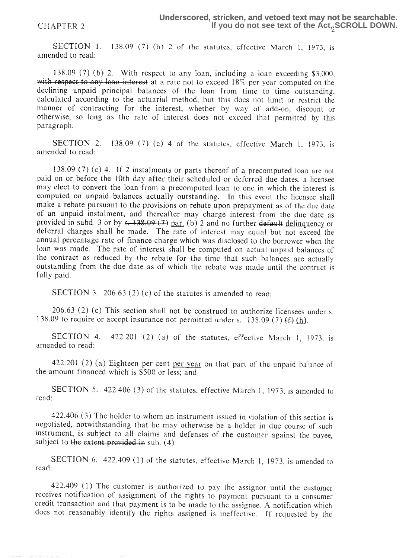SECTION 1. 138.09 (7) (b) 2 of the statutes, effective March 1, 1973, is amended to read:

138.09 (7) (b) 2. With respect to any loan, including a loan exceeding  $$3,000$ , with respect to any loan interest at a rate not to exceed 18% per year computed on the declining unpaid principal balances of the loan from time to time outstanding, calculated according to the actuarial method, but this does not limit or restrict the manner of contracting for the interest, whether by way of add-on, discount or otherwise, so long as the rate of interest does not exceed that perrnitted by this paragraph.

SECTION 2. 138.09 (7) (c) 4 of the statutes, effective March 1, 1973, is amended to read:

138.09 (7) (c) 4. If 2 instalments or parts thereof of a precomputed loan are not paid on or before the 10th day after their scheduled or deferred due dates, a licensee may elect to convert the loan from a precomputed loan to one in which the interest is computed an unpaid balances actually outstanding. In this event the licensee shall make a rebate pursuant to the provisions on rebate upon prepayment as of the due date of an unpaid instalment, and thereafter may charge interest from the due date as make a rebate pursuant to the provisions on rebate upon prepayment as of the due date<br>of an unpaid instalment, and thereafter may charge interest from the due date as<br>provided in subd. 3 or by s. 138.09 (7) par. (b) 2 and deferral charges shall be made. The rate of interest may equal but not exceed the annual percentage rats of finance charge which was disclosed to the borrower when the loan was made. The rate of interest shall be computed on actual unpaid balances of the contract as reduced by the rebate for the time; that such balances are actually outstanding from the due date as of which the rebate was made until the contract is fully paid.

SECTION 3. 206.63 (2) (c) of the statutes is amended to read:

 $206.63$  (2) (c) This section shall not be construed to authorize licensees under s. 138.09 to require or accept insurance not permitted under s. 138.09 (7)  $(f)$  (h).

SECTION 4.  $422.201$  (2) (a) of the statutes, effective March 1, 1973, is amended to read:

422.201 (2) (a) Eighteen per cent per year on that part of the unpaid balance of the amount financed which is \$500 or less; and

SECTION 5. 422.406 (3) of the statutes, effective March 1, 1973, is amended to read:

422.406 (3) The holder to whom an instrument issued in violation of this section is negotiated, notwithstanding that he may otherwise be a holder in due course of such instrument, is subject to all claims and defenses of the customer against the payee, subject to the extent provided in sub.  $(4)$ .

SECTION 6. 422.409 (1) of the statutes, effective March 1, 1973, is amended to read :

422.409 (1) The customer is authorized to pay the assignor until the customer receives notification of assignment of the rights to payment pursuant to a consumer credit transaction and that payment is to be made to the assignee. A notification which does not reasonably identify the rights assigned is ineffective. If requested by the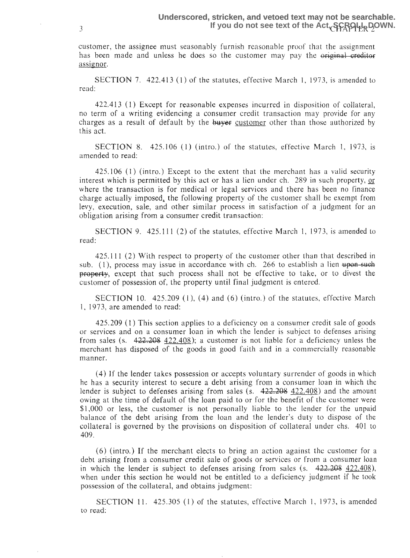customer, the assignee must seasonably furnish reasonable proof' that the assignment. has been made and unless he does so the customer may pay the original creditor assignor.

SECTION 7.  $422.413(1)$  of the statutes, effective March 1, 1973, is amended to read:

422.413 (1) Except for reasonable expenses incurred in disposition of collateral, no term of a writing evidencing a consumer credit transaction may provide for any charges as a result of default by the  $\frac{b}{y+1}$  customer other than those authorized by this act.

SECTION 8.  $425.106$  (1) (intro.) of the statutes, effective March 1, 1973, is amended to read:

425,106 (1) (intro.) Except to the extent that the merchant has a valid security interest which is permitted by this act or has a lien under ch. 289 in such property,  $or$ </u> where the transaction is for medical or legal services and there has been no finance charge actually imposed, the following property of the customer shall be exempt from levy, execution, sale, and other similar process in satisfaction of a judgment for an obligation arising from a consumer credit transaction: 425.106 (1) (intro.) Except to the extent that the merchant h<br>interest which is permitted by this act or has a lien under ch. 289 i<br>where the transaction is for medical or legal services and there hi<br>charge actually impos

SECTION 9.  $425.111(2)$  of the statutes, effective March 1, 1973, is amended to read:

425.111 (2) With respect to property of the customer other than that described in sub.  $(1)$ , process may issue in accordance with ch. 266 to establish a lien  $\theta$ **property**, except that such process shall not be effective to take, or to divest the customer of possession of, the property until final judgment is entered.

SECTION 10.  $425.209$  (1), (4) and (6) (intro.) of the statutes, effective March  $1, 1973$ , are amended to read:

 $425.209$  (1) This section applies to a deficiency on a consumer credit sale of goods or services and on a consumer loan in which the lender is subject to defenses arising from sales (s.  $422.208$   $422.408$ ); a customer is not liable for a deficiency unless the merchant has disposed of the goods in good faith and in a commercially reasonable manner,

(4) If the lender takes possession or accepts voluntary surrender of goods in which he has a security interest to secure a debt arising from a consumer loan in which the lender is subject to defenses arising from sales (s.  $422.208$   $422.408$ ) and the amount owing at the time of default of the loan paid to or for the benefit of the customer were \$1,000 or less, the customer is not personally liable to the lender for the unpaid balance of the debt arising from the loan and the lender's duty to dispose of the collateral is governed by the provisions an disposition of collateral under chs . 401 to 409.

 $(6)$  (intro.) If the merchant elects to bring an action against the customer for a debt arising from a consumer credit sale of goods or services or from a consumer loan in which the lender is subject to defenses arising from sales  $(s, 422.2084.22.408)$ , when under this section he would not be entitled to a deficiency judgment if he took possession of the collateral, and obtains judgment:

SECTION 11. 425.305 (1) of the statutes, effective March 1, 1973, is amended to read: